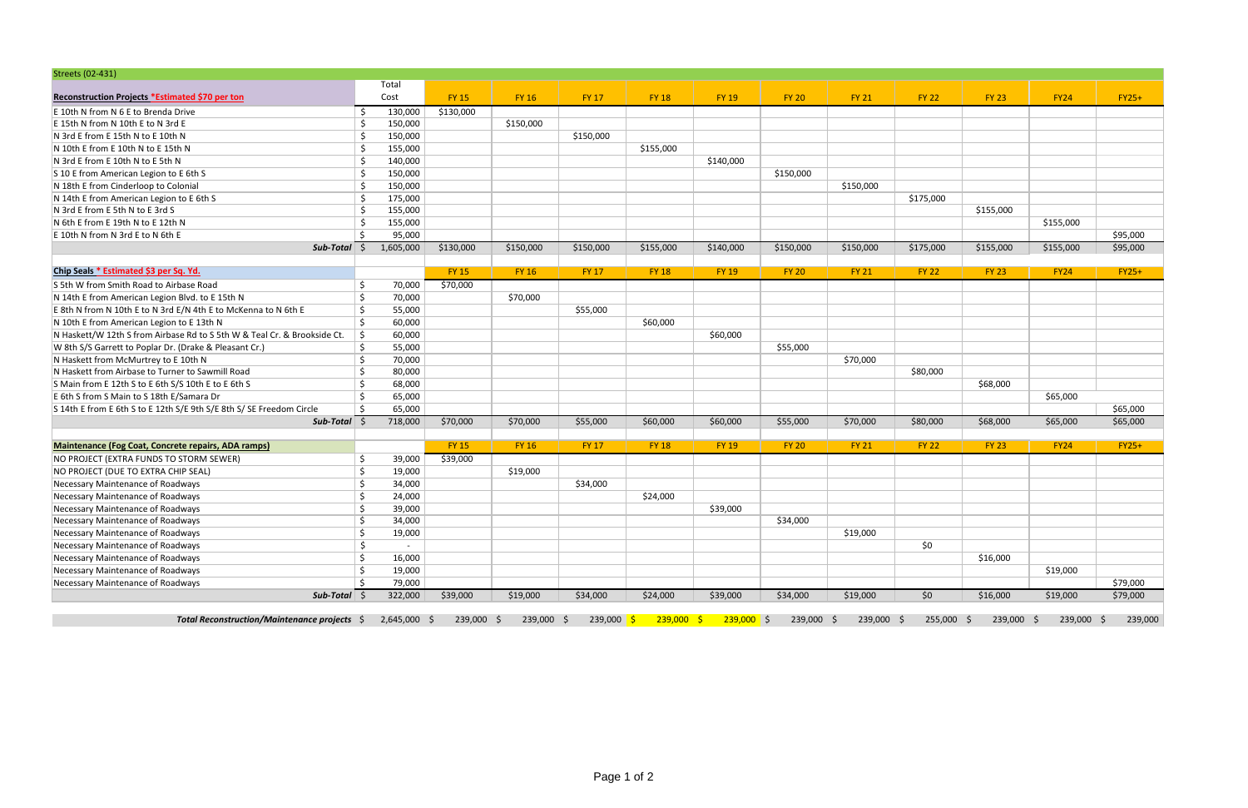| <b>Streets (02-431)</b>                                                  |         |           |              |              |              |              |                           |              |              |              |              |             |          |
|--------------------------------------------------------------------------|---------|-----------|--------------|--------------|--------------|--------------|---------------------------|--------------|--------------|--------------|--------------|-------------|----------|
|                                                                          |         | Total     |              |              |              |              |                           |              |              |              |              |             |          |
| Reconstruction Projects *Estimated \$70 per ton                          |         | Cost      | <b>FY 15</b> | <b>FY 16</b> | FY 17        | <b>FY 18</b> | <b>FY 19</b>              | <b>FY 20</b> | <b>FY 21</b> | <b>FY 22</b> | <b>FY 23</b> | <b>FY24</b> | $FY25+$  |
| E 10th N from N 6 E to Brenda Drive                                      |         | 130,000   | \$130,000    |              |              |              |                           |              |              |              |              |             |          |
| E 15th N from N 10th E to N 3rd E                                        | Ś.      | 150,000   |              | \$150,000    |              |              |                           |              |              |              |              |             |          |
| N 3rd E from E 15th N to E 10th N                                        | Ś.      | 150,000   |              |              | \$150,000    |              |                           |              |              |              |              |             |          |
| N 10th E from E 10th N to E 15th N                                       | Ś.      | 155,000   |              |              |              | \$155,000    |                           |              |              |              |              |             |          |
| N 3rd E from E 10th N to E 5th N                                         | Š.      | 140,000   |              |              |              |              | \$140,000                 |              |              |              |              |             |          |
| S 10 E from American Legion to E 6th S                                   | $\zeta$ | 150,000   |              |              |              |              |                           | \$150,000    |              |              |              |             |          |
| N 18th E from Cinderloop to Colonial                                     | Š.      | 150,000   |              |              |              |              |                           |              | \$150,000    |              |              |             |          |
| N 14th E from American Legion to E 6th S                                 |         | 175,000   |              |              |              |              |                           |              |              | \$175,000    |              |             |          |
| N 3rd E from E 5th N to E 3rd S                                          | ς       | 155,000   |              |              |              |              |                           |              |              |              | \$155,000    |             |          |
| N 6th E from E 19th N to E 12th N                                        |         | 155,000   |              |              |              |              |                           |              |              |              |              | \$155,000   |          |
| E 10th N from N 3rd E to N 6th E                                         | ς       | 95,000    |              |              |              |              |                           |              |              |              |              |             | \$95,000 |
| $Sub-Total$ \$                                                           |         | 1,605,000 | \$130,000    | \$150,000    | \$150,000    | \$155,000    | \$140,000                 | \$150,000    | \$150,000    | \$175,000    | \$155,000    | \$155,000   | \$95,000 |
|                                                                          |         |           |              |              |              |              |                           |              |              |              |              |             |          |
| Chip Seals * Estimated \$3 per Sq. Yd.                                   |         |           | <b>FY 15</b> | <b>FY 16</b> | FY 17        | <b>FY 18</b> | <b>FY 19</b>              | <b>FY 20</b> | <b>FY 21</b> | <b>FY 22</b> | <b>FY 23</b> | <b>FY24</b> | $FY25+$  |
| S 5th W from Smith Road to Airbase Road                                  | Ŝ       | 70,000    | \$70,000     |              |              |              |                           |              |              |              |              |             |          |
| N 14th E from American Legion Blvd. to E 15th N                          | Ŝ.      | 70,000    |              | \$70,000     |              |              |                           |              |              |              |              |             |          |
| E 8th N from N 10th E to N 3rd E/N 4th E to McKenna to N 6th E           | Ŝ.      | 55,000    |              |              | \$55,000     |              |                           |              |              |              |              |             |          |
| N 10th E from American Legion to E 13th N                                | Ŝ.      | 60,000    |              |              |              | \$60,000     |                           |              |              |              |              |             |          |
| N Haskett/W 12th S from Airbase Rd to S 5th W & Teal Cr. & Brookside Ct. | Ŝ.      | 60,000    |              |              |              |              | \$60,000                  |              |              |              |              |             |          |
| W 8th S/S Garrett to Poplar Dr. (Drake & Pleasant Cr.)                   | Ŝ.      | 55,000    |              |              |              |              |                           | \$55,000     |              |              |              |             |          |
| N Haskett from McMurtrey to E 10th N                                     | Ś.      | 70,000    |              |              |              |              |                           |              | \$70,000     |              |              |             |          |
| N Haskett from Airbase to Turner to Sawmill Road                         | Ś.      | 80,000    |              |              |              |              |                           |              |              | \$80,000     |              |             |          |
| S Main from E 12th S to E 6th S/S 10th E to E 6th S                      | Ś.      | 68,000    |              |              |              |              |                           |              |              |              | \$68,000     |             |          |
| E 6th S from S Main to S 18th E/Samara Dr                                | Ś       | 65,000    |              |              |              |              |                           |              |              |              |              | \$65,000    |          |
| S 14th E from E 6th S to E 12th S/E 9th S/E 8th S/ SE Freedom Circle     | Ś.      | 65,000    |              |              |              |              |                           |              |              |              |              |             | \$65,000 |
| $Sub-Total$ \$                                                           |         | 718,000   | \$70,000     | \$70,000     | \$55,000     | \$60,000     | \$60,000                  | \$55,000     | \$70,000     | \$80,000     | \$68,000     | \$65,000    | \$65,000 |
|                                                                          |         |           |              |              |              |              |                           |              |              |              |              |             |          |
| Maintenance (Fog Coat, Concrete repairs, ADA ramps)                      |         |           | <b>FY 15</b> | <b>FY 16</b> | <b>FY 17</b> | <b>FY 18</b> | <b>FY 19</b>              | <b>FY 20</b> | <b>FY 21</b> | <b>FY 22</b> | <b>FY 23</b> | <b>FY24</b> | $FY25+$  |
| NO PROJECT (EXTRA FUNDS TO STORM SEWER)                                  | Ś       | 39,000    | \$39,000     |              |              |              |                           |              |              |              |              |             |          |
| NO PROJECT (DUE TO EXTRA CHIP SEAL)                                      | Ś.      | 19,000    |              | \$19,000     |              |              |                           |              |              |              |              |             |          |
| Necessary Maintenance of Roadways                                        | Ś.      | 34,000    |              |              | \$34,000     |              |                           |              |              |              |              |             |          |
| Necessary Maintenance of Roadways                                        | Ś.      | 24,000    |              |              |              | \$24,000     |                           |              |              |              |              |             |          |
| Necessary Maintenance of Roadways                                        | Ś       | 39,000    |              |              |              |              | \$39,000                  |              |              |              |              |             |          |
| Necessary Maintenance of Roadways                                        | Ś       | 34,000    |              |              |              |              |                           | \$34,000     |              |              |              |             |          |
| Necessary Maintenance of Roadways                                        | \$      | 19,000    |              |              |              |              |                           |              | \$19,000     |              |              |             |          |
| Necessary Maintenance of Roadways                                        | \$      |           |              |              |              |              |                           |              |              | \$0          |              |             |          |
| Necessary Maintenance of Roadways                                        | Ŝ.      | 16,000    |              |              |              |              |                           |              |              |              | \$16,000     |             |          |
| Necessary Maintenance of Roadways                                        | Ś       | 19,000    |              |              |              |              |                           |              |              |              |              | \$19,000    |          |
| Necessary Maintenance of Roadways                                        | Ŝ.      | 79,000    |              |              |              |              |                           |              |              |              |              |             | \$79,000 |
| $Sub-Total$ \$                                                           |         | 322,000   | \$39,000     | \$19,000     | \$34,000     | \$24,000     | \$39,000                  | \$34,000     | \$19,000     | \$0          | \$16,000     | \$19,000    | \$79,000 |
| Total Reconstruction/Maintenance projects \$ 2,645,000 \$                |         |           | 239,000 \$   | 239,000 \$   | 239,000 \$   |              | $239,000$ \$ $239,000$ \$ | 239,000 \$   | 239,000 \$   | 255,000 \$   | 239,000 \$   | 239,000 \$  | 239,000  |